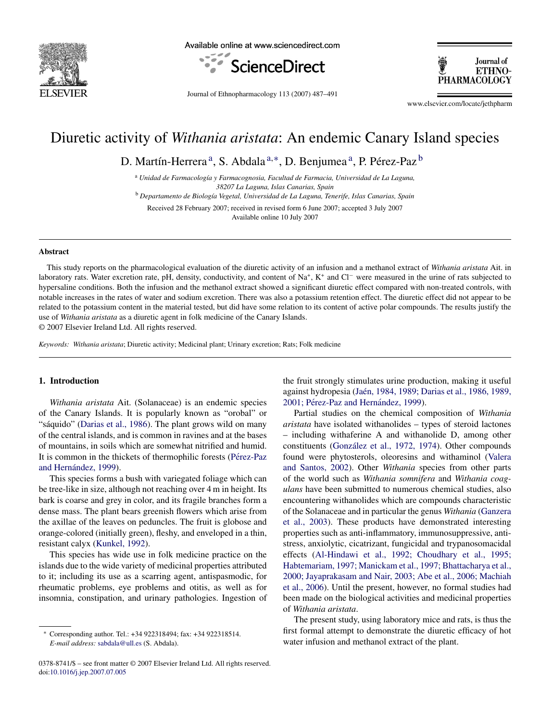

Available online at www.sciencedirect.com





Journal of Ethnopharmacology 113 (2007) 487–491

www.elsevier.com/locate/jethpharm

# Diuretic activity of *Withania aristata*: An endemic Canary Island species

D. Martín-Herrera<sup>a</sup>, S. Abdala<sup>a,\*</sup>, D. Benjumea<sup>a</sup>, P. Pérez-Paz <sup>b</sup>

<sup>a</sup> Unidad de Farmacología y Farmacognosia, Facultad de Farmacia, Universidad de La Laguna, *38207 La Laguna, Islas Canarias, Spain*

<sup>b</sup> *Departamento de Biolog´ıa Vegetal, Universidad de La Laguna, Tenerife, Islas Canarias, Spain*

Received 28 February 2007; received in revised form 6 June 2007; accepted 3 July 2007 Available online 10 July 2007

#### **Abstract**

This study reports on the pharmacological evaluation of the diuretic activity of an infusion and a methanol extract of *Withania aristata* Ait. in laboratory rats. Water excretion rate, pH, density, conductivity, and content of Na+, K+ and Cl<sup>−</sup> were measured in the urine of rats subjected to hypersaline conditions. Both the infusion and the methanol extract showed a significant diuretic effect compared with non-treated controls, with notable increases in the rates of water and sodium excretion. There was also a potassium retention effect. The diuretic effect did not appear to be related to the potassium content in the material tested, but did have some relation to its content of active polar compounds. The results justify the use of *Withania aristata* as a diuretic agent in folk medicine of the Canary Islands.

© 2007 Elsevier Ireland Ltd. All rights reserved.

*Keywords: Withania aristata*; Diuretic activity; Medicinal plant; Urinary excretion; Rats; Folk medicine

# **1. Introduction**

*Withania aristata* Ait. (Solanaceae) is an endemic species of the Canary Islands. It is popularly known as "orobal" or "sáquido" ([Darias et al., 1986\).](#page-4-0) The plant grows wild on many of the central islands, and is common in ravines and at the bases of mountains, in soils which are somewhat nitrified and humid. It is common in the thickets of thermophilic forests (Pérez-Paz and Hernández, 1999).

This species forms a bush with variegated foliage which can be tree-like in size, although not reaching over 4 m in height. Its bark is coarse and grey in color, and its fragile branches form a dense mass. The plant bears greenish flowers which arise from the axillae of the leaves on peduncles. The fruit is globose and orange-colored (initially green), fleshy, and enveloped in a thin, resistant calyx ([Kunkel, 1992\).](#page-4-0)

This species has wide use in folk medicine practice on the islands due to the wide variety of medicinal properties attributed to it; including its use as a scarring agent, antispasmodic, for rheumatic problems, eye problems and otitis, as well as for insomnia, constipation, and urinary pathologies. Ingestion of

0378-8741/\$ – see front matter © 2007 Elsevier Ireland Ltd. All rights reserved. doi[:10.1016/j.jep.2007.07.005](dx.doi.org/10.1016/j.jep.2007.07.005)

the fruit strongly stimulates urine production, making it useful against hydropesia [\(Jaen, 1984, 1989; Darias et al., 1986, 1989,](#page-4-0) ´ 2001; Pérez-Paz and Hernández, 1999).

Partial studies on the chemical composition of *Withania aristata* have isolated withanolides – types of steroid lactones – including withaferine A and withanolide D, among other constituents (González et al., 1972, 1974). Other compounds found were phytosterols, oleoresins and withaminol [\(Valera](#page-4-0) [and Santos, 2002\).](#page-4-0) Other *Withania* species from other parts of the world such as *Withania somnifera* and *Withania coagulans* have been submitted to numerous chemical studies, also encountering withanolides which are compounds characteristic of the Solanaceae and in particular the genus *Withania* [\(Ganzera](#page-4-0) [et al., 2003\).](#page-4-0) These products have demonstrated interesting properties such as anti-inflammatory, immunosuppressive, antistress, anxiolytic, cicatrizant, fungicidal and trypanosomacidal effects ([Al-Hindawi et al., 1992; Choudhary et al., 1995;](#page-4-0) [Habtemariam, 1997; Manickam et al., 1997; Bhattacharya et al.,](#page-4-0) [2000; Jayaprakasam and Nair, 2003; Abe et al., 2006; Machiah](#page-4-0) [et al., 2006\).](#page-4-0) Until the present, however, no formal studies had been made on the biological activities and medicinal properties of *Withania aristata*.

The present study, using laboratory mice and rats, is thus the first formal attempt to demonstrate the diuretic efficacy of hot water infusion and methanol extract of the plant.

<sup>∗</sup> Corresponding author. Tel.: +34 922318494; fax: +34 922318514. *E-mail address:* [sabdala@ull.es](mailto:sabdala@ull.es) (S. Abdala).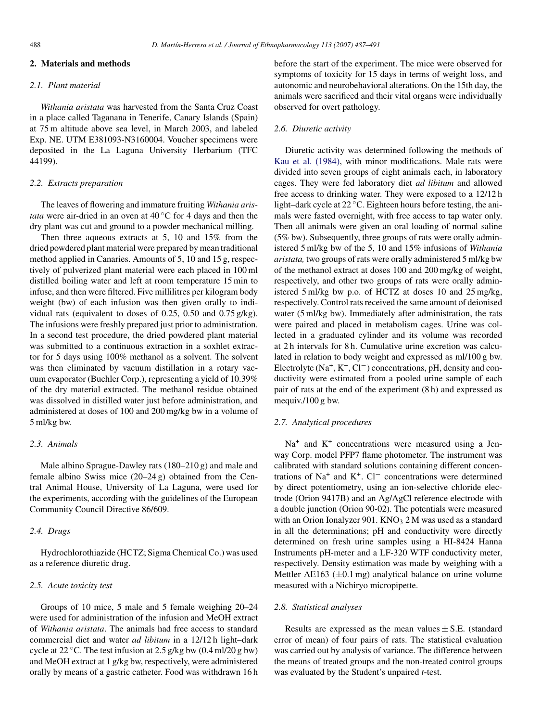# **2. Materials and methods**

# *2.1. Plant material*

*Withania aristata* was harvested from the Santa Cruz Coast in a place called Taganana in Tenerife, Canary Islands (Spain) at 75 m altitude above sea level, in March 2003, and labeled Exp. NE. UTM E381093-N3160004. Voucher specimens were deposited in the La Laguna University Herbarium (TFC 44199).

## *2.2. Extracts preparation*

The leaves of flowering and immature fruiting *Withania aristata* were air-dried in an oven at 40 °C for 4 days and then the dry plant was cut and ground to a powder mechanical milling.

Then three aqueous extracts at 5, 10 and 15% from the dried powdered plant material were prepared by mean traditional method applied in Canaries. Amounts of 5, 10 and 15 g, respectively of pulverized plant material were each placed in 100 ml distilled boiling water and left at room temperature 15 min to infuse, and then were filtered. Five millilitres per kilogram body weight (bw) of each infusion was then given orally to individual rats (equivalent to doses of 0.25, 0.50 and 0.75 g/kg). The infusions were freshly prepared just prior to administration. In a second test procedure, the dried powdered plant material was submitted to a continuous extraction in a soxhlet extractor for 5 days using 100% methanol as a solvent. The solvent was then eliminated by vacuum distillation in a rotary vacuum evaporator (Buchler Corp.), representing a yield of 10.39% of the dry material extracted. The methanol residue obtained was dissolved in distilled water just before administration, and administered at doses of 100 and 200 mg/kg bw in a volume of 5 ml/kg bw.

# *2.3. Animals*

Male albino Sprague-Dawley rats (180–210 g) and male and female albino Swiss mice (20–24 g) obtained from the Central Animal House, University of La Laguna, were used for the experiments, according with the guidelines of the European Community Council Directive 86/609.

# *2.4. Drugs*

Hydrochlorothiazide (HCTZ; Sigma Chemical Co.) was used as a reference diuretic drug.

### *2.5. Acute toxicity test*

Groups of 10 mice, 5 male and 5 female weighing 20–24 were used for administration of the infusion and MeOH extract of *Withania aristata*. The animals had free access to standard commercial diet and water *ad libitum* in a 12/12 h light–dark cycle at 22 ◦C. The test infusion at 2.5 g/kg bw (0.4 ml/20 g bw) and MeOH extract at 1 g/kg bw, respectively, were administered orally by means of a gastric catheter. Food was withdrawn 16 h before the start of the experiment. The mice were observed for symptoms of toxicity for 15 days in terms of weight loss, and autonomic and neurobehavioral alterations. On the 15th day, the animals were sacrificed and their vital organs were individually observed for overt pathology.

## *2.6. Diuretic activity*

Diuretic activity was determined following the methods of [Kau et al. \(1984\),](#page-4-0) with minor modifications. Male rats were divided into seven groups of eight animals each, in laboratory cages. They were fed laboratory diet *ad libitum* and allowed free access to drinking water. They were exposed to a 12/12 h light–dark cycle at 22 ◦C. Eighteen hours before testing, the animals were fasted overnight, with free access to tap water only. Then all animals were given an oral loading of normal saline (5% bw). Subsequently, three groups of rats were orally administered 5 ml/kg bw of the 5, 10 and 15% infusions of *Withania aristata,* two groups of rats were orally administered 5 ml/kg bw of the methanol extract at doses 100 and 200 mg/kg of weight, respectively, and other two groups of rats were orally administered 5 ml/kg bw p.o. of HCTZ at doses 10 and 25 mg/kg, respectively. Control rats received the same amount of deionised water (5 ml/kg bw). Immediately after administration, the rats were paired and placed in metabolism cages. Urine was collected in a graduated cylinder and its volume was recorded at 2 h intervals for 8 h. Cumulative urine excretion was calculated in relation to body weight and expressed as ml/100 g bw. Electrolyte (Na<sup>+</sup>, K<sup>+</sup>, Cl<sup>−</sup>) concentrations, pH, density and conductivity were estimated from a pooled urine sample of each pair of rats at the end of the experiment (8 h) and expressed as mequiv./100 g bw.

## *2.7. Analytical procedures*

 $Na<sup>+</sup>$  and  $K<sup>+</sup>$  concentrations were measured using a Jenway Corp. model PFP7 flame photometer. The instrument was calibrated with standard solutions containing different concentrations of Na<sup>+</sup> and K+. Cl<sup>−</sup> concentrations were determined by direct potentiometry, using an ion-selective chloride electrode (Orion 9417B) and an Ag/AgCl reference electrode with a double junction (Orion 90-02). The potentials were measured with an Orion Ionalyzer 901.  $KNO<sub>3</sub> 2 M$  was used as a standard in all the determinations; pH and conductivity were directly determined on fresh urine samples using a HI-8424 Hanna Instruments pH-meter and a LF-320 WTF conductivity meter, respectively. Density estimation was made by weighing with a Mettler AE163  $(\pm 0.1 \text{ mg})$  analytical balance on urine volume measured with a Nichiryo micropipette.

#### *2.8. Statistical analyses*

Results are expressed as the mean values  $\pm$  S.E. (standard error of mean) of four pairs of rats. The statistical evaluation was carried out by analysis of variance. The difference between the means of treated groups and the non-treated control groups was evaluated by the Student's unpaired *t*-test.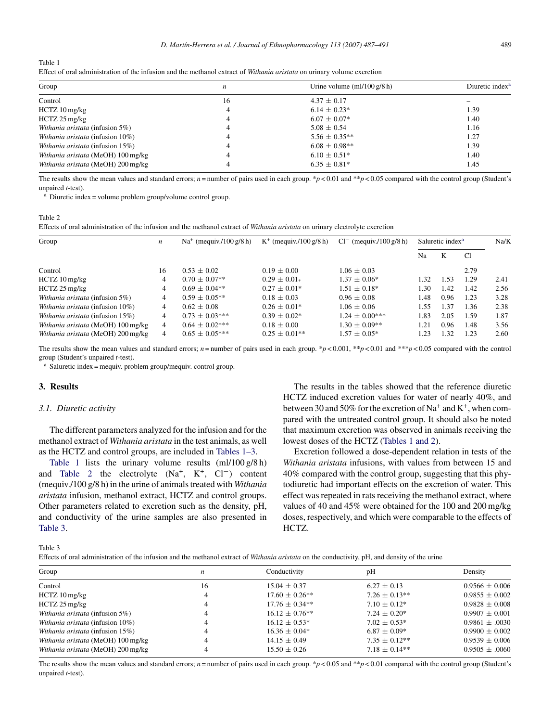<span id="page-2-0"></span>Table 1

| Effect of oral administration of the infusion and the methanol extract of <i>Withania aristata</i> on urinary volume excretion |  |
|--------------------------------------------------------------------------------------------------------------------------------|--|
|--------------------------------------------------------------------------------------------------------------------------------|--|

| Group                                   | n  | Urine volume $(ml/100 g/8 h)$ | Diuretic index <sup>a</sup> |  |
|-----------------------------------------|----|-------------------------------|-----------------------------|--|
| Control                                 | 16 | $4.37 \pm 0.17$               |                             |  |
| $HCTZ$ 10 mg/kg                         |    | $6.14 \pm 0.23*$              | 1.39                        |  |
| $HCTZ$ 25 mg/kg                         |    | $6.07 \pm 0.07*$              | 1.40                        |  |
| Withania aristata (infusion 5%)         |    | $5.08 \pm 0.54$               | 1.16                        |  |
| Withania aristata (infusion 10%)        |    | $5.56 \pm 0.35**$             | 1.27                        |  |
| <i>Withania aristata</i> (infusion 15%) |    | $6.08 \pm 0.98**$             | 1.39                        |  |
| Withania aristata (MeOH) 100 mg/kg      |    | $6.10 \pm 0.51*$              | 1.40                        |  |
| Withania aristata (MeOH) 200 mg/kg      |    | $6.35 \pm 0.81*$              | 1.45                        |  |

The results show the mean values and standard errors;  $n =$  number of pairs used in each group. \* $p < 0.01$  and \*\* $p < 0.05$  compared with the control group (Student's unpaired *t*-test).

<sup>a</sup> Diuretic index = volume problem group/volume control group.

#### Table 2

Effects of oral administration of the infusion and the methanol extract of *Withania aristata* on urinary electrolyte excretion

| Group                                  | $\boldsymbol{n}$ | $Na+$ (meguiv./100 g/8 h) | $K^+$ (mequiv./100 g/8 h) | (mequiv./100 g/8 h)<br>$Cl^-$ | Saluretic index <sup>a</sup> |      |      | Na/K |
|----------------------------------------|------------------|---------------------------|---------------------------|-------------------------------|------------------------------|------|------|------|
|                                        |                  |                           |                           |                               | Na                           | K    | Cl   |      |
| Control                                | 16               | $0.53 \pm 0.02$           | $0.19 \pm 0.00$           | $1.06 \pm 0.03$               |                              |      | 2.79 |      |
| $HCTZ$ 10 mg/kg                        | 4                | $0.70 + 0.07**$           | $0.29 \pm 0.01*$          | $1.37 \pm 0.06*$              | 1.32                         | 1.53 | 1.29 | 2.41 |
| $HCTZ$ 25 mg/kg                        | $\overline{4}$   | $0.69 \pm 0.04**$         | $0.27 \pm 0.01*$          | $1.51 \pm 0.18^*$             | 1.30                         | 1.42 | 1.42 | 2.56 |
| <i>Withania aristata</i> (infusion 5%) | 4                | $0.59 \pm 0.05**$         | $0.18 \pm 0.03$           | $0.96 \pm 0.08$               | 1.48                         | 0.96 | 1.23 | 3.28 |
| Withania aristata (infusion 10%)       | 4                | $0.62 \pm 0.08$           | $0.26 \pm 0.01*$          | $1.06 \pm 0.06$               | 1.55                         | 1.37 | 1.36 | 2.38 |
| Withania aristata (infusion 15%)       | 4                | $0.73 \pm 0.03***$        | $0.39 \pm 0.02*$          | $1.24 \pm 0.00***$            | 1.83                         | 2.05 | 1.59 | 1.87 |
| Withania aristata (MeOH) 100 mg/kg     | 4                | $0.64 \pm 0.02***$        | $0.18 \pm 0.00$           | $1.30 \pm 0.09**$             | 1.21                         | 0.96 | 1.48 | 3.56 |
| Withania aristata (MeOH) 200 mg/kg     | 4                | $0.65 \pm 0.05***$        | $0.25 \pm 0.01**$         | $1.57 \pm 0.05*$              | 1.23                         | 1.32 | 1.23 | 2.60 |

The results show the mean values and standard errors; *n* = number of pairs used in each group. \**p* < 0.001, \*\**p* < 0.01 and \*\*\**p* < 0.05 compared with the control group (Student's unpaired *t*-test).

<sup>a</sup> Saluretic index = mequiv. problem group/mequiv. control group.

#### **3. Results**

#### *3.1. Diuretic activity*

The different parameters analyzed for the infusion and for the methanol extract of *Withania aristata* in the test animals, as well as the HCTZ and control groups, are included in Tables 1–3.

Table 1 lists the urinary volume results  $(m1/100 g/8 h)$ and Table 2 the electrolyte  $(Na^+, K^+, Cl^-)$  content (mequiv./100 g/8 h) in the urine of animals treated with *Withania aristata* infusion, methanol extract, HCTZ and control groups. Other parameters related to excretion such as the density, pH, and conductivity of the urine samples are also presented in Table 3.

The results in the tables showed that the reference diuretic HCTZ induced excretion values for water of nearly 40%, and between 30 and 50% for the excretion of  $Na^+$  and  $K^+$ , when compared with the untreated control group. It should also be noted that maximum excretion was observed in animals receiving the lowest doses of the HCTZ (Tables 1 and 2).

Excretion followed a dose-dependent relation in tests of the *Withania aristata* infusions, with values from between 15 and 40% compared with the control group, suggesting that this phytodiuretic had important effects on the excretion of water. This effect was repeated in rats receiving the methanol extract, where values of 40 and 45% were obtained for the 100 and 200 mg/kg doses, respectively, and which were comparable to the effects of HCTZ.

Table 3

Effects of oral administration of the infusion and the methanol extract of *Withania aristata* on the conductivity, pH, and density of the urine

| Group                                   | n  | Conductivity       | pH                | Density            |  |
|-----------------------------------------|----|--------------------|-------------------|--------------------|--|
| Control                                 | 16 | $15.04 \pm 0.37$   | $6.27 \pm 0.13$   | $0.9566 \pm 0.006$ |  |
| $HCTZ$ 10 mg/kg                         | 4  | $17.60 \pm 0.26**$ | $7.26 \pm 0.13**$ | $0.9855 \pm 0.002$ |  |
| $HCTZ$ 25 mg/kg                         | 4  | $17.76 \pm 0.34**$ | $7.10 \pm 0.12*$  | $0.9828 \pm 0.008$ |  |
| Withania aristata (infusion 5%)         | 4  | $16.12 \pm 0.76**$ | $7.24 \pm 0.20^*$ | $0.9907 \pm 0.001$ |  |
| Withania aristata (infusion 10%)        | 4  | $16.12 \pm 0.53*$  | $7.02 \pm 0.53*$  | $0.9861 \pm .0030$ |  |
| <i>Withania aristata</i> (infusion 15%) | 4  | $16.36 \pm 0.04*$  | $6.87 \pm 0.09*$  | $0.9900 \pm 0.002$ |  |
| Withania aristata (MeOH) 100 mg/kg      | 4  | $14.15 \pm 0.49$   | $7.35 \pm 0.12**$ | $0.9539 \pm 0.006$ |  |
| Withania aristata (MeOH) 200 mg/kg      | 4  | $15.50 \pm 0.26$   | $7.18 \pm 0.14**$ | $0.9505 \pm .0060$ |  |

The results show the mean values and standard errors;  $n =$  number of pairs used in each group. \* $p < 0.05$  and \*\* $p < 0.01$  compared with the control group (Student's unpaired *t*-test).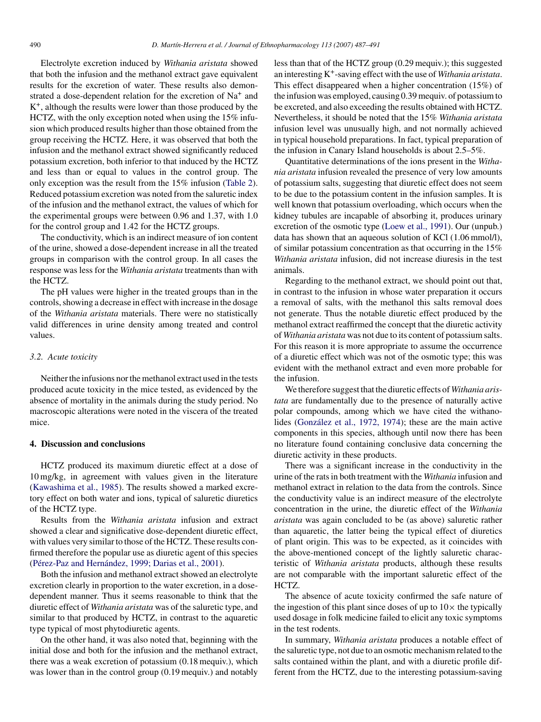Electrolyte excretion induced by *Withania aristata* showed that both the infusion and the methanol extract gave equivalent results for the excretion of water. These results also demonstrated a dose-dependent relation for the excretion of Na<sup>+</sup> and K+, although the results were lower than those produced by the HCTZ, with the only exception noted when using the 15% infusion which produced results higher than those obtained from the group receiving the HCTZ. Here, it was observed that both the infusion and the methanol extract showed significantly reduced potassium excretion, both inferior to that induced by the HCTZ and less than or equal to values in the control group. The only exception was the result from the 15% infusion ([Table 2\).](#page-2-0) Reduced potassium excretion was noted from the saluretic index of the infusion and the methanol extract, the values of which for the experimental groups were between 0.96 and 1.37, with 1.0 for the control group and 1.42 for the HCTZ groups.

The conductivity, which is an indirect measure of ion content of the urine, showed a dose-dependent increase in all the treated groups in comparison with the control group. In all cases the response was less for the *Withania aristata* treatments than with the HCTZ.

The pH values were higher in the treated groups than in the controls, showing a decrease in effect with increase in the dosage of the *Withania aristata* materials. There were no statistically valid differences in urine density among treated and control values.

# *3.2. Acute toxicity*

Neither the infusions nor the methanol extract used in the tests produced acute toxicity in the mice tested, as evidenced by the absence of mortality in the animals during the study period. No macroscopic alterations were noted in the viscera of the treated mice.

## **4. Discussion and conclusions**

HCTZ produced its maximum diuretic effect at a dose of 10 mg/kg, in agreement with values given in the literature [\(Kawashima et al., 1985\).](#page-4-0) The results showed a marked excretory effect on both water and ions, typical of saluretic diuretics of the HCTZ type.

Results from the *Withania aristata* infusion and extract showed a clear and significative dose-dependent diuretic effect, with values very similar to those of the HCTZ. These results confirmed therefore the popular use as diuretic agent of this species (Pérez-Paz and Hernández, 1999; Darias et al., 2001).

Both the infusion and methanol extract showed an electrolyte excretion clearly in proportion to the water excretion, in a dosedependent manner. Thus it seems reasonable to think that the diuretic effect of *Withania aristata* was of the saluretic type, and similar to that produced by HCTZ, in contrast to the aquaretic type typical of most phytodiuretic agents.

On the other hand, it was also noted that, beginning with the initial dose and both for the infusion and the methanol extract, there was a weak excretion of potassium (0.18 mequiv.), which was lower than in the control group (0.19 mequiv.) and notably

less than that of the HCTZ group (0.29 mequiv.); this suggested an interesting K+-saving effect with the use of *Withania aristata*. This effect disappeared when a higher concentration (15%) of the infusion was employed, causing 0.39 mequiv. of potassium to be excreted, and also exceeding the results obtained with HCTZ. Nevertheless, it should be noted that the 15% *Withania aristata* infusion level was unusually high, and not normally achieved in typical household preparations. In fact, typical preparation of the infusion in Canary Island households is about 2.5–5%.

Quantitative determinations of the ions present in the *Withania aristata* infusion revealed the presence of very low amounts of potassium salts, suggesting that diuretic effect does not seem to be due to the potassium content in the infusion samples. It is well known that potassium overloading, which occurs when the kidney tubules are incapable of absorbing it, produces urinary excretion of the osmotic type ([Loew et al., 1991\).](#page-4-0) Our (unpub.) data has shown that an aqueous solution of KCl (1.06 mmol/l), of similar potassium concentration as that occurring in the 15% *Withania aristata* infusion, did not increase diuresis in the test animals.

Regarding to the methanol extract, we should point out that, in contrast to the infusion in whose water preparation it occurs a removal of salts, with the methanol this salts removal does not generate. Thus the notable diuretic effect produced by the methanol extract reaffirmed the concept that the diuretic activity of *Withania aristata* was not due to its content of potassium salts. For this reason it is more appropriate to assume the occurrence of a diuretic effect which was not of the osmotic type; this was evident with the methanol extract and even more probable for the infusion.

We therefore suggest that the diuretic effects of *Withania aristata* are fundamentally due to the presence of naturally active polar compounds, among which we have cited the withanolides (González et al., 1972, 1974); these are the main active components in this species, although until now there has been no literature found containing conclusive data concerning the diuretic activity in these products.

There was a significant increase in the conductivity in the urine of the rats in both treatment with the *Withania* infusion and methanol extract in relation to the data from the controls. Since the conductivity value is an indirect measure of the electrolyte concentration in the urine, the diuretic effect of the *Withania aristata* was again concluded to be (as above) saluretic rather than aquaretic, the latter being the typical effect of diuretics of plant origin. This was to be expected, as it coincides with the above-mentioned concept of the lightly saluretic characteristic of *Withania aristata* products, although these results are not comparable with the important saluretic effect of the HCTZ.

The absence of acute toxicity confirmed the safe nature of the ingestion of this plant since doses of up to  $10\times$  the typically used dosage in folk medicine failed to elicit any toxic symptoms in the test rodents.

In summary, *Withania aristata* produces a notable effect of the saluretic type, not due to an osmotic mechanism related to the salts contained within the plant, and with a diuretic profile different from the HCTZ, due to the interesting potassium-saving